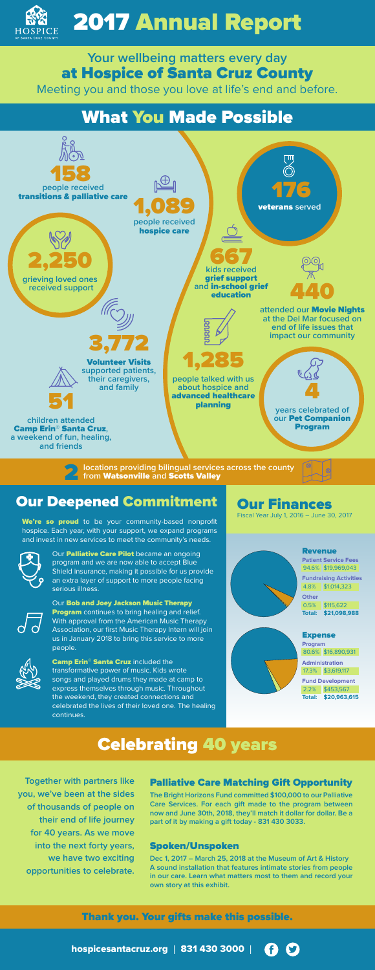

# 2017 Annual Report

## What You Made Possible

## Our Deepened Commitment

We're so proud to be your community-based nonprofit hospice. Each year, with your support, we expand programs and invest in new services to meet the community's needs.

> Our Palliative Care Pilot became an ongoing program and we are now able to accept Blue Shield insurance, making it possible for us provide an extra layer of support to more people facing serious illness.



Our **Bob and Joey Jackson Music Therapy Program** continues to bring healing and relief. With approval from the American Music Therapy Association, our first Music Therapy Intern will join us in January 2018 to bring this service to more people.



Camp Erin<sup>®</sup> Santa Cruz included the transformative power of music. Kids wrote songs and played drums they made at camp to express themselves through music. Throughout the weekend, they created connections and celebrated the lives of their loved one. The healing continues.

## Celebrating 40 years

**Together with partners like you, we've been at the sides of thousands of people on their end of life journey for 40 years. As we move into the next forty years, we have two exciting opportunities to celebrate.**

#### Palliative Care Matching Gift Opportunity

**The Bright Horizons Fund committed \$100,000 to our Palliative Care Services. For each gift made to the program between now and June 30th, 2018, they'll match it dollar for dollar. Be a part of it by making a gift today - 831 430 3033.**



#### Spoken/Unspoken

**Dec 1, 2017 – March 25, 2018 at the Museum of Art & History A sound installation that features intimate stories from people in our care. Learn what matters most to them and record your own story at this exhibit.** 

### **Your wellbeing matters every day**  at Hospice of Santa Cruz County

Meeting you and those you love at life's end and before.

Our Finances Fiscal Year July 1, 2016 – June 30, 2017



Thank you. Your gifts make this possible.

hospicesantacruz.org | 831 430 3000 |





## **Fund Development** 2.2% \$453,567

**Total: \$20,963,615**